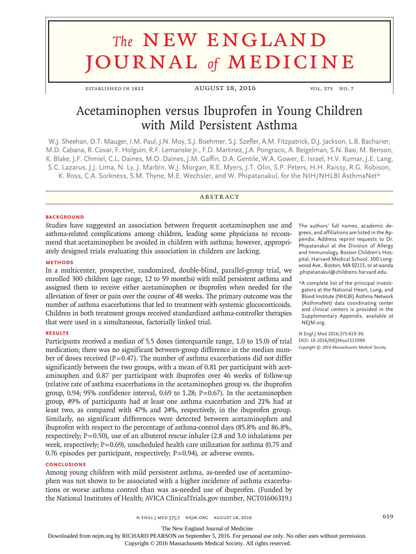# **The NEW ENGLAND** journal *of* medicine

established in 1812 August 18, 2016 vol. 375 no. 7

# Acetaminophen versus Ibuprofen in Young Children with Mild Persistent Asthma

W.J. Sheehan, D.T. Mauger, I.M. Paul, J.N. Moy, S.J. Boehmer, S.J. Szefler, A.M. Fitzpatrick, D.J. Jackson, L.B. Bacharier, M.D. Cabana, R. Covar, F. Holguin, R.F. Lemanske Jr., F.D. Martinez, J.A. Pongracic, A. Beigelman, S.N. Baxi, M. Benson, K. Blake, J.F. Chmiel, C.L. Daines, M.O. Daines, J.M. Gaffin, D.A. Gentile, W.A. Gower, E. Israel, H.V. Kumar, J.E. Lang, S.C. Lazarus, J.J. Lima, N. Ly, J. Marbin, W.J. Morgan, R.E. Myers, J.T. Olin, S.P. Peters, H.H. Raissy, R.G. Robison, K. Ross, C.A. Sorkness, S.M. Thyne, M.E. Wechsler, and W. Phipatanakul, for the NIH/NHLBI AsthmaNet\*

#### **ABSTRACT**

## **BACKGROUND**

Studies have suggested an association between frequent acetaminophen use and asthma-related complications among children, leading some physicians to recommend that acetaminophen be avoided in children with asthma; however, appropriately designed trials evaluating this association in children are lacking.

#### **METHODS**

In a multicenter, prospective, randomized, double-blind, parallel-group trial, we enrolled 300 children (age range, 12 to 59 months) with mild persistent asthma and assigned them to receive either acetaminophen or ibuprofen when needed for the alleviation of fever or pain over the course of 48 weeks. The primary outcome was the number of asthma exacerbations that led to treatment with systemic glucocorticoids. Children in both treatment groups received standardized asthma-controller therapies that were used in a simultaneous, factorially linked trial.

#### **RESULTS**

Participants received a median of 5.5 doses (interquartile range, 1.0 to 15.0) of trial medication; there was no significant between-group difference in the median number of doses received ( $P=0.47$ ). The number of asthma exacerbations did not differ significantly between the two groups, with a mean of 0.81 per participant with acetaminophen and 0.87 per participant with ibuprofen over 46 weeks of follow-up (relative rate of asthma exacerbations in the acetaminophen group vs. the ibuprofen group, 0.94; 95% confidence interval, 0.69 to 1.28;  $P=0.67$ ). In the acetaminophen group, 49% of participants had at least one asthma exacerbation and 21% had at least two, as compared with 47% and 24%, respectively, in the ibuprofen group. Similarly, no significant differences were detected between acetaminophen and ibuprofen with respect to the percentage of asthma-control days (85.8% and 86.8%, respectively;  $P=0.50$ ), use of an albuterol rescue inhaler (2.8 and 3.0 inhalations per week, respectively;  $P=0.69$ ), unscheduled health care utilization for asthma (0.75 and 0.76 episodes per participant, respectively;  $P=0.94$ ), or adverse events.

# **CONCLUSIONS**

Among young children with mild persistent asthma, as-needed use of acetaminophen was not shown to be associated with a higher incidence of asthma exacerbations or worse asthma control than was as-needed use of ibuprofen. (Funded by the National Institutes of Health; AVICA ClinicalTrials.gov number, NCT01606319.)

The authors' full names, academic degrees, and affiliations are listed in the Appendix. Address reprint requests to Dr. Phipatanakul at the Division of Allergy and Immunology, Boston Children's Hospital, Harvard Medical School, 300 Longwood Ave., Boston, MA 02115, or at wanda .phipatanakul@childrens.harvard.edu.

\*A complete list of the principal investigators at the National Heart, Lung, and Blood Institute (NHLBI) Asthma Network (AsthmaNet) data coordinating center and clinical centers is provided in the Supplementary Appendix, available at NEJM.org.

**N Engl J Med 2016;375:619-30. DOI: 10.1056/NEJMoa1515990** *Copyright © 2016 Massachusetts Medical Society.*

n engl j med 375;7 nejm.org August 18, 2016 619

The New England Journal of Medicine

Downloaded from nejm.org by RICHARD PEARSON on September 5, 2016. For personal use only. No other uses without permission.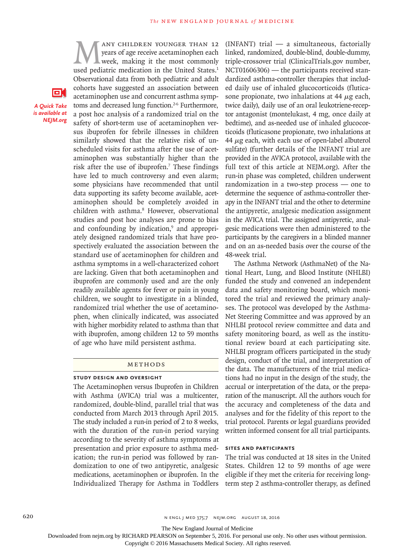o: *A Quick Take is available at* 

*NEJM.org*

**MANY CHILDREN YOUNGER THAN 12** years of age receive acetaminophen each week, making it the most commonly used pediatric medication in the United States.<sup>1</sup> years of age receive acetaminophen each week, making it the most commonly Observational data from both pediatric and adult cohorts have suggested an association between acetaminophen use and concurrent asthma symptoms and decreased lung function.<sup>2-6</sup> Furthermore, a post hoc analysis of a randomized trial on the safety of short-term use of acetaminophen versus ibuprofen for febrile illnesses in children similarly showed that the relative risk of unscheduled visits for asthma after the use of acetaminophen was substantially higher than the risk after the use of ibuprofen.<sup>7</sup> These findings have led to much controversy and even alarm; some physicians have recommended that until data supporting its safety become available, acetaminophen should be completely avoided in children with asthma.<sup>8</sup> However, observational studies and post hoc analyses are prone to bias and confounding by indication,<sup>9</sup> and appropriately designed randomized trials that have prospectively evaluated the association between the standard use of acetaminophen for children and asthma symptoms in a well-characterized cohort are lacking. Given that both acetaminophen and ibuprofen are commonly used and are the only readily available agents for fever or pain in young children, we sought to investigate in a blinded, randomized trial whether the use of acetaminophen, when clinically indicated, was associated with higher morbidity related to asthma than that with ibuprofen, among children 12 to 59 months of age who have mild persistent asthma.

#### METHODS

#### **Study Design and Oversight**

The Acetaminophen versus Ibuprofen in Children with Asthma (AVICA) trial was a multicenter, randomized, double-blind, parallel trial that was conducted from March 2013 through April 2015. The study included a run-in period of 2 to 8 weeks, with the duration of the run-in period varying according to the severity of asthma symptoms at presentation and prior exposure to asthma medication; the run-in period was followed by randomization to one of two antipyretic, analgesic medications, acetaminophen or ibuprofen. In the Individualized Therapy for Asthma in Toddlers

(INFANT) trial — a simultaneous, factorially linked, randomized, double-blind, double-dummy, triple-crossover trial (ClinicalTrials.gov number, NCT01606306) — the participants received standardized asthma-controller therapies that included daily use of inhaled glucocorticoids (fluticasone propionate, two inhalations at 44  $\mu$ g each, twice daily), daily use of an oral leukotriene-receptor antagonist (montelukast, 4 mg, once daily at bedtime), and as-needed use of inhaled glucocorticoids (fluticasone propionate, two inhalations at 44  $\mu$ g each, with each use of open-label albuterol sulfate) (further details of the INFANT trial are provided in the AVICA protocol, available with the full text of this article at NEJM.org). After the run-in phase was completed, children underwent randomization in a two-step process — one to determine the sequence of asthma-controller therapy in the INFANT trial and the other to determine the antipyretic, analgesic medication assignment in the AVICA trial. The assigned antipyretic, analgesic medications were then administered to the participants by the caregivers in a blinded manner and on an as-needed basis over the course of the 48-week trial.

The Asthma Network (AsthmaNet) of the National Heart, Lung, and Blood Institute (NHLBI) funded the study and convened an independent data and safety monitoring board, which monitored the trial and reviewed the primary analyses. The protocol was developed by the Asthma-Net Steering Committee and was approved by an NHLBI protocol review committee and data and safety monitoring board, as well as the institutional review board at each participating site. NHLBI program officers participated in the study design, conduct of the trial, and interpretation of the data. The manufacturers of the trial medications had no input in the design of the study, the accrual or interpretation of the data, or the preparation of the manuscript. All the authors vouch for the accuracy and completeness of the data and analyses and for the fidelity of this report to the trial protocol. Parents or legal guardians provided written informed consent for all trial participants.

### **Sites and Participants**

The trial was conducted at 18 sites in the United States. Children 12 to 59 months of age were eligible if they met the criteria for receiving longterm step 2 asthma-controller therapy, as defined

620 **620** N ENGL | MED 375;7 NEIM.ORG AUGUST 18, 2016

The New England Journal of Medicine

Downloaded from nejm.org by RICHARD PEARSON on September 5, 2016. For personal use only. No other uses without permission.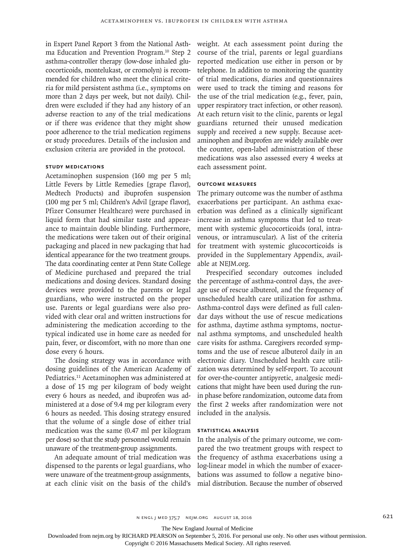in Expert Panel Report 3 from the National Asthma Education and Prevention Program.10 Step 2 asthma-controller therapy (low-dose inhaled glucocorticoids, montelukast, or cromolyn) is recommended for children who meet the clinical criteria for mild persistent asthma (i.e., symptoms on more than 2 days per week, but not daily). Children were excluded if they had any history of an adverse reaction to any of the trial medications or if there was evidence that they might show poor adherence to the trial medication regimens or study procedures. Details of the inclusion and exclusion criteria are provided in the protocol.

## **Study Medications**

Acetaminophen suspension (160 mg per 5 ml; Little Fevers by Little Remedies [grape flavor], Medtech Products) and ibuprofen suspension (100 mg per 5 ml; Children's Advil [grape flavor], Pfizer Consumer Healthcare) were purchased in liquid form that had similar taste and appearance to maintain double blinding. Furthermore, the medications were taken out of their original packaging and placed in new packaging that had identical appearance for the two treatment groups. The data coordinating center at Penn State College of Medicine purchased and prepared the trial medications and dosing devices. Standard dosing devices were provided to the parents or legal guardians, who were instructed on the proper use. Parents or legal guardians were also provided with clear oral and written instructions for administering the medication according to the typical indicated use in home care as needed for pain, fever, or discomfort, with no more than one dose every 6 hours.

The dosing strategy was in accordance with dosing guidelines of the American Academy of Pediatrics.11 Acetaminophen was administered at a dose of 15 mg per kilogram of body weight every 6 hours as needed, and ibuprofen was administered at a dose of 9.4 mg per kilogram every 6 hours as needed. This dosing strategy ensured that the volume of a single dose of either trial medication was the same (0.47 ml per kilogram per dose) so that the study personnel would remain unaware of the treatment-group assignments.

An adequate amount of trial medication was dispensed to the parents or legal guardians, who were unaware of the treatment-group assignments, at each clinic visit on the basis of the child's weight. At each assessment point during the course of the trial, parents or legal guardians reported medication use either in person or by telephone. In addition to monitoring the quantity of trial medications, diaries and questionnaires were used to track the timing and reasons for the use of the trial medication (e.g., fever, pain, upper respiratory tract infection, or other reason). At each return visit to the clinic, parents or legal guardians returned their unused medication supply and received a new supply. Because acetaminophen and ibuprofen are widely available over the counter, open-label administration of these medications was also assessed every 4 weeks at each assessment point.

#### **Outcome Measures**

The primary outcome was the number of asthma exacerbations per participant. An asthma exacerbation was defined as a clinically significant increase in asthma symptoms that led to treatment with systemic glucocorticoids (oral, intravenous, or intramuscular). A list of the criteria for treatment with systemic glucocorticoids is provided in the Supplementary Appendix, available at NEJM.org.

Prespecified secondary outcomes included the percentage of asthma-control days, the average use of rescue albuterol, and the frequency of unscheduled health care utilization for asthma. Asthma-control days were defined as full calendar days without the use of rescue medications for asthma, daytime asthma symptoms, nocturnal asthma symptoms, and unscheduled health care visits for asthma. Caregivers recorded symptoms and the use of rescue albuterol daily in an electronic diary. Unscheduled health care utilization was determined by self-report. To account for over-the-counter antipyretic, analgesic medications that might have been used during the runin phase before randomization, outcome data from the first 2 weeks after randomization were not included in the analysis.

#### **Statistical Analysis**

In the analysis of the primary outcome, we compared the two treatment groups with respect to the frequency of asthma exacerbations using a log-linear model in which the number of exacerbations was assumed to follow a negative binomial distribution. Because the number of observed

The New England Journal of Medicine

Downloaded from nejm.org by RICHARD PEARSON on September 5, 2016. For personal use only. No other uses without permission.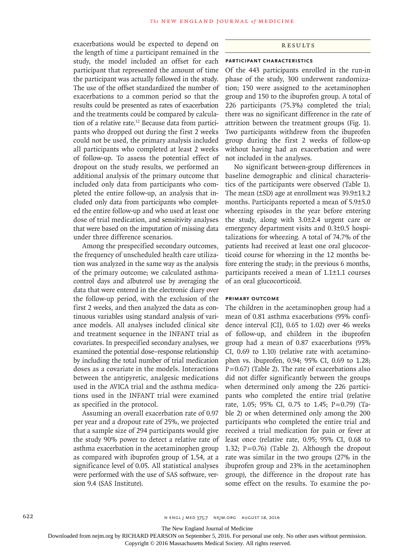exacerbations would be expected to depend on the length of time a participant remained in the study, the model included an offset for each participant that represented the amount of time the participant was actually followed in the study. The use of the offset standardized the number of exacerbations to a common period so that the results could be presented as rates of exacerbation and the treatments could be compared by calculation of a relative rate.<sup>12</sup> Because data from participants who dropped out during the first 2 weeks could not be used, the primary analysis included all participants who completed at least 2 weeks of follow-up. To assess the potential effect of dropout on the study results, we performed an additional analysis of the primary outcome that included only data from participants who completed the entire follow-up, an analysis that included only data from participants who completed the entire follow-up and who used at least one dose of trial medication, and sensitivity analyses that were based on the imputation of missing data under three difference scenarios.

Among the prespecified secondary outcomes, the frequency of unscheduled health care utilization was analyzed in the same way as the analysis of the primary outcome; we calculated asthmacontrol days and albuterol use by averaging the data that were entered in the electronic diary over the follow-up period, with the exclusion of the first 2 weeks, and then analyzed the data as continuous variables using standard analysis of variance models. All analyses included clinical site and treatment sequence in the INFANT trial as covariates. In prespecified secondary analyses, we examined the potential dose–response relationship by including the total number of trial medication doses as a covariate in the models. Interactions between the antipyretic, analgesic medications used in the AVICA trial and the asthma medications used in the INFANT trial were examined as specified in the protocol.

Assuming an overall exacerbation rate of 0.97 per year and a dropout rate of 25%, we projected that a sample size of 294 participants would give the study 90% power to detect a relative rate of asthma exacerbation in the acetaminophen group as compared with ibuprofen group of 1.54, at a significance level of 0.05. All statistical analyses were performed with the use of SAS software, version 9.4 (SAS Institute).

#### Results

#### **Participant Characteristics**

Of the 443 participants enrolled in the run-in phase of the study, 300 underwent randomization; 150 were assigned to the acetaminophen group and 150 to the ibuprofen group. A total of 226 participants (75.3%) completed the trial; there was no significant difference in the rate of attrition between the treatment groups (Fig. 1). Two participants withdrew from the ibuprofen group during the first 2 weeks of follow-up without having had an exacerbation and were not included in the analyses.

No significant between-group differences in baseline demographic and clinical characteristics of the participants were observed (Table 1). The mean (±SD) age at enrollment was 39.9±13.2 months. Participants reported a mean of 5.9±5.0 wheezing episodes in the year before entering the study, along with 3.0±2.4 urgent care or emergency department visits and 0.3±0.5 hospitalizations for wheezing. A total of 74.7% of the patients had received at least one oral glucocorticoid course for wheezing in the 12 months before entering the study; in the previous 6 months, participants received a mean of 1.1±1.1 courses of an oral glucocorticoid.

#### **Primary Outcome**

The children in the acetaminophen group had a mean of 0.81 asthma exacerbations (95% confidence interval [CI], 0.65 to 1.02) over 46 weeks of follow-up, and children in the ibuprofen group had a mean of 0.87 exacerbations (95% CI, 0.69 to 1.10) (relative rate with acetaminophen vs. ibuprofen, 0.94; 95% CI, 0.69 to 1.28;  $P=0.67$ ) (Table 2). The rate of exacerbations also did not differ significantly between the groups when determined only among the 226 participants who completed the entire trial (relative rate, 1.05; 95% CI, 0.75 to 1.45; P=0.79) (Table 2) or when determined only among the 200 participants who completed the entire trial and received a trial medication for pain or fever at least once (relative rate, 0.95; 95% CI, 0.68 to 1.32;  $P=0.76$ ) (Table 2). Although the dropout rate was similar in the two groups (27% in the ibuprofen group and 23% in the acetaminophen group), the difference in the dropout rate has some effect on the results. To examine the po-

The New England Journal of Medicine

Downloaded from nejm.org by RICHARD PEARSON on September 5, 2016. For personal use only. No other uses without permission.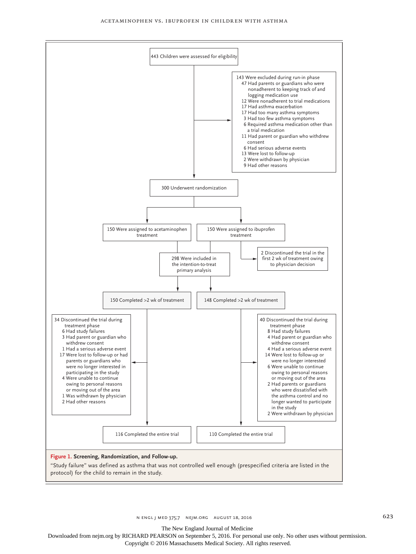

n engl j med 375;7 nejm.org August 18, 2016 623

The New England Journal of Medicine

Downloaded from nejm.org by RICHARD PEARSON on September 5, 2016. For personal use only. No other uses without permission.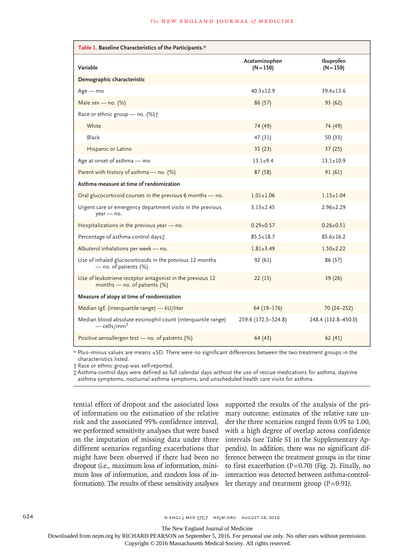| Table 1. Baseline Characteristics of the Participants.*                                   |                              |                          |  |  |
|-------------------------------------------------------------------------------------------|------------------------------|--------------------------|--|--|
| Variable                                                                                  | Acetaminophen<br>$(N = 150)$ | Ibuprofen<br>$(N = 150)$ |  |  |
| Demographic characteristic                                                                |                              |                          |  |  |
| $Age - mo$                                                                                | $40.3 + 12.9$                | $39.4 + 13.6$            |  |  |
| Male sex - no. (%)                                                                        | 86 (57)                      | 93 (62)                  |  |  |
| Race or ethnic group - no. (%) +                                                          |                              |                          |  |  |
| White                                                                                     | 74 (49)                      | 74 (49)                  |  |  |
| Black                                                                                     | 47 (31)                      | 50 (33)                  |  |  |
| Hispanic or Latino                                                                        | 35(23)                       | 37(25)                   |  |  |
| Age at onset of asthma - mo                                                               | $13.1 + 9.4$                 | $13.1 \pm 10.9$          |  |  |
| Parent with history of asthma - no. (%)                                                   | 87(58)                       | 91(61)                   |  |  |
| Asthma measure at time of randomization                                                   |                              |                          |  |  |
| Oral glucocorticoid courses in the previous 6 months - no.                                | $1.01 \pm 1.06$              | $1.15 \pm 1.04$          |  |  |
| Urgent care or emergency department visits in the previous<br>year - no.                  | $3.13 + 2.45$                | $2.96 + 2.29$            |  |  |
| Hospitalizations in the previous year $-$ no.                                             | $0.29 + 0.57$                | $0.26 + 0.51$            |  |  |
| Percentage of asthma-control days;                                                        | $85.5 + 18.7$                | $85.6 \pm 16.2$          |  |  |
| Albuterol inhalations per week - no.                                                      | $1.81 + 3.49$                | $1.50 + 2.22$            |  |  |
| Use of inhaled glucocorticoids in the previous 12 months<br>- no. of patients (%)         | 92 (61)                      | 86 (57)                  |  |  |
| Use of leukotriene receptor antagonist in the previous 12<br>months - no. of patients (%) | 22(15)                       | 39(26)                   |  |  |
| Measure of atopy at time of randomization                                                 |                              |                          |  |  |
| Median IgE (interquartile range) - kU/liter                                               | 64 (19-176)                  | 70 (24-252)              |  |  |
| Median blood absolute eosinophil count (interquartile range)<br>$-\text{cells/mm}^3$      | 259.6 (172.5-524.8)          | 248.4 (132.8-450.0)      |  |  |
| Positive aeroallergen test - no. of patients (%)                                          | 64 (43)                      | 62 (41)                  |  |  |

\* Plus–minus values are means ±SD. There were no significant differences between the two treatment groups in the characteristics listed.

† Race or ethnic group was self-reported.

‡ Asthma-control days were defined as full calendar days without the use of rescue medications for asthma, daytime asthma symptoms, nocturnal asthma symptoms, and unscheduled health care visits for asthma.

tential effect of dropout and the associated loss of information on the estimation of the relative risk and the associated 95% confidence interval, we performed sensitivity analyses that were based on the imputation of missing data under three different scenarios regarding exacerbations that might have been observed if there had been no dropout (i.e., maximum loss of information, minimum loss of information, and random loss of information). The results of these sensitivity analyses ler therapy and treatment group (P=0.91).

supported the results of the analysis of the primary outcome: estimates of the relative rate under the three scenarios ranged from 0.95 to 1.00, with a high degree of overlap across confidence intervals (see Table S1 in the Supplementary Appendix). In addition, there was no significant difference between the treatment groups in the time to first exacerbation  $(P=0.70)$  (Fig. 2). Finally, no interaction was detected between asthma-control-

624 **n ENGL j MED 375;7 NEIM.ORG AUGUST 18, 2016** 

The New England Journal of Medicine

Downloaded from nejm.org by RICHARD PEARSON on September 5, 2016. For personal use only. No other uses without permission.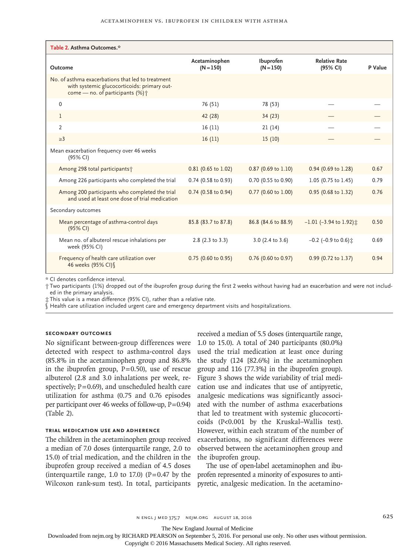| Table 2. Asthma Outcomes.*                                                                                                                   |                              |                          |                                  |         |
|----------------------------------------------------------------------------------------------------------------------------------------------|------------------------------|--------------------------|----------------------------------|---------|
| Outcome                                                                                                                                      | Acetaminophen<br>$(N = 150)$ | Ibuprofen<br>$(N = 150)$ | <b>Relative Rate</b><br>(95% CI) | P Value |
| No. of asthma exacerbations that led to treatment<br>with systemic glucocorticoids: primary out-<br>come - no. of participants (%) $\dagger$ |                              |                          |                                  |         |
| 0                                                                                                                                            | 76 (51)                      | 78 (53)                  |                                  |         |
| 1                                                                                                                                            | 42 (28)                      | 34(23)                   |                                  |         |
| 2                                                                                                                                            | 16(11)                       | 21(14)                   |                                  |         |
| $\geq$ 3                                                                                                                                     | 16(11)                       | 15(10)                   |                                  |         |
| Mean exacerbation frequency over 46 weeks<br>(95% CI)                                                                                        |                              |                          |                                  |         |
| Among 298 total participants;                                                                                                                | 0.81 (0.65 to 1.02)          | 0.87 (0.69 to 1.10)      | 0.94 (0.69 to 1.28)              | 0.67    |
| Among 226 participants who completed the trial                                                                                               | 0.74 (0.58 to 0.93)          | 0.70 (0.55 to 0.90)      | 1.05 (0.75 to 1.45)              | 0.79    |
| Among 200 participants who completed the trial<br>and used at least one dose of trial medication                                             | 0.74 (0.58 to 0.94)          | 0.77 (0.60 to 1.00)      | 0.95 (0.68 to 1.32)              | 0.76    |
| Secondary outcomes                                                                                                                           |                              |                          |                                  |         |
| Mean percentage of asthma-control days<br>(95% CI)                                                                                           | 85.8 (83.7 to 87.8)          | 86.8 (84.6 to 88.9)      | $-1.01$ (-3.94 to 1.92) $\pm$    | 0.50    |
| Mean no. of albuterol rescue inhalations per<br>week (95% CI)                                                                                | 2.8 (2.3 to 3.3)             | 3.0 (2.4 to 3.6)         | $-0.2$ (-0.9 to 0.6) $\pm$       | 0.69    |
| Frequency of health care utilization over<br>46 weeks (95% CI)                                                                               | 0.75 (0.60 to 0.95)          | 0.76 (0.60 to 0.97)      | 0.99 (0.72 to 1.37)              | 0.94    |

\* CI denotes confidence interval.

† Two participants (1%) dropped out of the ibuprofen group during the first 2 weeks without having had an exacerbation and were not included in the primary analysis.

‡ This value is a mean difference (95% CI), rather than a relative rate.

§ Health care utilization included urgent care and emergency department visits and hospitalizations.

#### **Secondary Outcomes**

No significant between-group differences were detected with respect to asthma-control days (85.8% in the acetaminophen group and 86.8% in the ibuprofen group,  $P=0.50$ , use of rescue albuterol (2.8 and 3.0 inhalations per week, respectively;  $P=0.69$ ), and unscheduled health care utilization for asthma (0.75 and 0.76 episodes per participant over 46 weeks of follow-up, P=0.94) (Table 2).

# **Trial Medication Use and Adherence**

The children in the acetaminophen group received a median of 7.0 doses (interquartile range, 2.0 to 15.0) of trial medication, and the children in the ibuprofen group received a median of 4.5 doses (interquartile range, 1.0 to 17.0)  $(P=0.47)$  by the received a median of 5.5 doses (interquartile range, 1.0 to 15.0). A total of 240 participants (80.0%) used the trial medication at least once during the study (124 [82.6%] in the acetaminophen group and 116 [77.3%] in the ibuprofen group). Figure 3 shows the wide variability of trial medication use and indicates that use of antipyretic, analgesic medications was significantly associated with the number of asthma exacerbations that led to treatment with systemic glucocorticoids (P<0.001 by the Kruskal–Wallis test). However, within each stratum of the number of exacerbations, no significant differences were observed between the acetaminophen group and the ibuprofen group.

Wilcoxon rank-sum test). In total, participants pyretic, analgesic medication. In the acetamino-The use of open-label acetaminophen and ibuprofen represented a minority of exposures to anti-

n engl j med 375;7 nejm.org August 18, 2016 625

The New England Journal of Medicine

Downloaded from nejm.org by RICHARD PEARSON on September 5, 2016. For personal use only. No other uses without permission.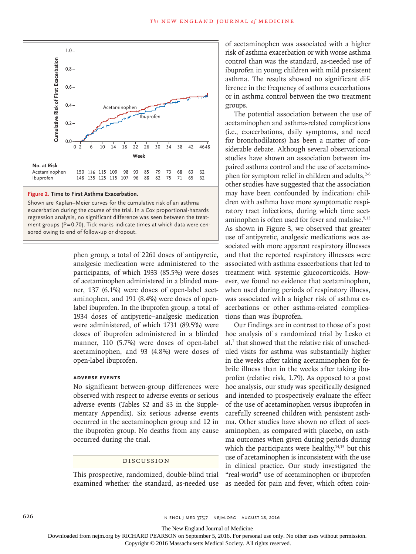

**Figure 2. Time to First Asthma Exacerbation.**

Shown are Kaplan–Meier curves for the cumulative risk of an asthma exacerbation during the course of the trial. In a Cox proportional-hazards regression analysis, no significant difference was seen between the treatment groups (P=0.70). Tick marks indicate times at which data were censored owing to end of follow-up or dropout.

> phen group, a total of 2261 doses of antipyretic, analgesic medication were administered to the participants, of which 1933 (85.5%) were doses of acetaminophen administered in a blinded manner, 137 (6.1%) were doses of open-label acetaminophen, and 191 (8.4%) were doses of openlabel ibuprofen. In the ibuprofen group, a total of 1934 doses of antipyretic–analgesic medication were administered, of which 1731 (89.5%) were doses of ibuprofen administered in a blinded manner, 110 (5.7%) were doses of open-label acetaminophen, and 93 (4.8%) were doses of open-label ibuprofen.

### **Adverse Events**

No significant between-group differences were observed with respect to adverse events or serious adverse events (Tables S2 and S3 in the Supplementary Appendix). Six serious adverse events occurred in the acetaminophen group and 12 in the ibuprofen group. No deaths from any cause occurred during the trial.

#### Discussion

This prospective, randomized, double-blind trial examined whether the standard, as-needed use of acetaminophen was associated with a higher risk of asthma exacerbation or with worse asthma control than was the standard, as-needed use of ibuprofen in young children with mild persistent asthma. The results showed no significant difference in the frequency of asthma exacerbations or in asthma control between the two treatment groups.

The potential association between the use of acetaminophen and asthma-related complications (i.e., exacerbations, daily symptoms, and need for bronchodilators) has been a matter of considerable debate. Although several observational studies have shown an association between impaired asthma control and the use of acetaminophen for symptom relief in children and adults,<sup>2-6</sup> other studies have suggested that the association may have been confounded by indication: children with asthma have more symptomatic respiratory tract infections, during which time acetaminophen is often used for fever and malaise.<sup>9,13</sup> As shown in Figure 3, we observed that greater use of antipyretic, analgesic medications was associated with more apparent respiratory illnesses and that the reported respiratory illnesses were associated with asthma exacerbations that led to treatment with systemic glucocorticoids. However, we found no evidence that acetaminophen, when used during periods of respiratory illness, was associated with a higher risk of asthma exacerbations or other asthma-related complications than was ibuprofen.

Our findings are in contrast to those of a post hoc analysis of a randomized trial by Lesko et al.7 that showed that the relative risk of unscheduled visits for asthma was substantially higher in the weeks after taking acetaminophen for febrile illness than in the weeks after taking ibuprofen (relative risk, 1.79). As opposed to a post hoc analysis, our study was specifically designed and intended to prospectively evaluate the effect of the use of acetaminophen versus ibuprofen in carefully screened children with persistent asthma. Other studies have shown no effect of acetaminophen, as compared with placebo, on asthma outcomes when given during periods during which the participants were healthy, $14,15$  but this use of acetaminophen is inconsistent with the use in clinical practice. Our study investigated the "real-world" use of acetaminophen or ibuprofen as needed for pain and fever, which often coin-

626 **626** n engl j med 375;7 nejm.org August 18, 2016

The New England Journal of Medicine

Downloaded from nejm.org by RICHARD PEARSON on September 5, 2016. For personal use only. No other uses without permission.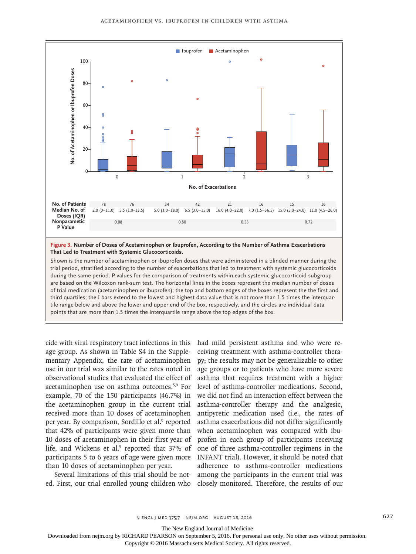

during the same period. P values for the comparison of treatments within each systemic glucocorticoid subgroup are based on the Wilcoxon rank-sum test. The horizontal lines in the boxes represent the median number of doses of trial medication (acetaminophen or ibuprofen); the top and bottom edges of the boxes represent the the first and third quartiles; the I bars extend to the lowest and highest data value that is not more than 1.5 times the interquartile range below and above the lower and upper end of the box, respectively, and the circles are individual data points that are more than 1.5 times the interquartile range above the top edges of the box.

cide with viral respiratory tract infections in this age group. As shown in Table S4 in the Supplementary Appendix, the rate of acetaminophen use in our trial was similar to the rates noted in observational studies that evaluated the effect of acetaminophen use on asthma outcomes.5,9 For example, 70 of the 150 participants (46.7%) in the acetaminophen group in the current trial received more than 10 doses of acetaminophen per year. By comparison, Sordillo et al.<sup>9</sup> reported that 42% of participants were given more than 10 doses of acetaminophen in their first year of life, and Wickens et al.<sup>5</sup> reported that 37% of participants 5 to 6 years of age were given more than 10 doses of acetaminophen per year.

Several limitations of this trial should be noted. First, our trial enrolled young children who

had mild persistent asthma and who were receiving treatment with asthma-controller therapy; the results may not be generalizable to other age groups or to patients who have more severe asthma that requires treatment with a higher level of asthma-controller medications. Second, we did not find an interaction effect between the asthma-controller therapy and the analgesic, antipyretic medication used (i.e., the rates of asthma exacerbations did not differ significantly when acetaminophen was compared with ibuprofen in each group of participants receiving one of three asthma-controller regimens in the INFANT trial). However, it should be noted that adherence to asthma-controller medications among the participants in the current trial was closely monitored. Therefore, the results of our

The New England Journal of Medicine

Downloaded from nejm.org by RICHARD PEARSON on September 5, 2016. For personal use only. No other uses without permission.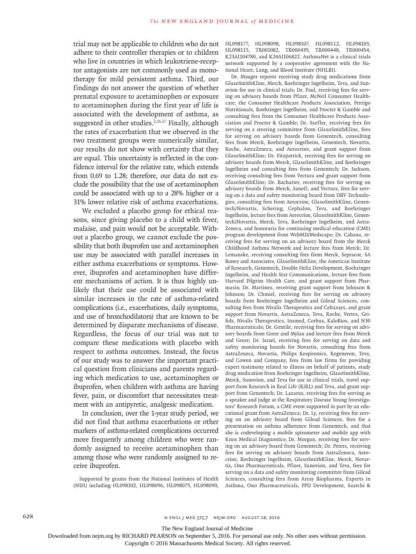trial may not be applicable to children who do not adhere to their controller therapies or to children who live in countries in which leukotriene-receptor antagonists are not commonly used as monotherapy for mild persistent asthma. Third, our findings do not answer the question of whether prenatal exposure to acetaminophen or exposure to acetaminophen during the first year of life is associated with the development of asthma, as suggested in other studies.<sup>2,16,17</sup> Finally, although the rates of exacerbation that we observed in the two treatment groups were numerically similar, our results do not show with certainty that they are equal. This uncertainty is reflected in the confidence interval for the relative rate, which extends from 0.69 to 1.28; therefore, our data do not exclude the possibility that the use of acetaminophen could be associated with up to a 28% higher or a 31% lower relative risk of asthma exacerbations.

We excluded a placebo group for ethical reasons, since giving placebo to a child with fever, malaise, and pain would not be acceptable. Without a placebo group, we cannot exclude the possibility that both ibuprofen use and acetaminophen use may be associated with parallel increases in either asthma exacerbations or symptoms. However, ibuprofen and acetaminophen have different mechanisms of action. It is thus highly unlikely that their use could be associated with similar increases in the rate of asthma-related complications (i.e., exacerbations, daily symptoms, and use of bronchodilators) that are known to be determined by disparate mechanisms of disease. Regardless, the focus of our trial was not to compare these medications with placebo with respect to asthma outcomes. Instead, the focus of our study was to answer the important practical question from clinicians and parents regarding which medication to use, acetaminophen or ibuprofen, when children with asthma are having fever, pain, or discomfort that necessitates treatment with an antipyretic, analgesic medication.

In conclusion, over the 1-year study period, we did not find that asthma exacerbations or other markers of asthma-related complications occurred more frequently among children who were randomly assigned to receive acetaminophen than among those who were randomly assigned to receive ibuprofen.

Supported by grants from the National Institutes of Health (NIH) including HL098102, HL098096, HL098075, HL098090, HL098177, HL098098, HL098107, HL098112, HL098103, HL098115, TR001082, TR000439, TR000448, TR000454, K23AI104780, and K24AI106822. AsthmaNet is a clinical trials network supported by a cooperative agreement with the National Heart, Lung, and Blood Institute (NHLBI).

Dr. Mauger reports receiving study drug medications from GlaxoSmithKline, Merck, Boehringer Ingelheim, Teva, and Sunovion for use in clinical trials; Dr. Paul, receiving fees for serving on advisory boards from Pfizer, McNeil Consumer Healthcare, the Consumer Healthcare Products Association, Perrigo Nutritionals, Boehringer Ingelheim, and Procter & Gamble and consulting fees from the Consumer Healthcare Products Association and Procter & Gamble; Dr. Szefler, receiving fees for serving on a steering committee from GlaxoSmithKline, fees for serving on advisory boards from Genentech, consulting fees from Merck, Boehringer Ingelheim, Genentech, Novartis, Roche, AstraZeneca, and Aerocrine, and grant support from GlaxoSmithKline; Dr. Fitzpatrick, receiving fees for serving on advisory boards from Merck, GlaxoSmithKline, and Boehringer Ingelheim and consulting fees from Genentech; Dr. Jackson, receiving consulting fees from Vectura and grant support from GlaxoSmithKline; Dr. Bacharier, receiving fees for serving on advisory boards from Merck, Sanofi, and Vectura, fees for serving on a data and safety monitoring board from DBV Technologies, consulting fees from Aerocrine, GlaxoSmithKline, Genentech/Novartis, Schering, Cephalon, Teva, and Boehringer Ingelheim, lecture fees from Aerocrine, GlaxoSmithKline, Genentech/Novartis, Merck, Teva, Boehringer Ingelheim, and Astra-Zeneca, and honoraria for continuing medical education (CME) program development from WebMD/Medscape; Dr. Cabana, receiving fees for serving on an advisory board from the Merck Childhood Asthma Network and lecture fees from Merck; Dr. Lemanske, receiving consulting fees from Merck, Sepracor, SA Boney and Associates, GlaxoSmithKline, the American Institute of Research, Genentech, Double Helix Development, Boehringer Ingelheim, and Health Star Communications, lecture fees from Harvard Pilgrim Health Care, and grant support from Pharmaxis; Dr. Martinez, receiving grant support from Johnson & Johnson; Dr. Chmiel, receiving fees for serving on advisory boards from Boehringer Ingelheim and Gilead Sciences, consulting fees from Nivalis Therapeutics and Celtaxsys, and grant support from Novartis, AstraZeneca, Teva, Roche, Vertex, Grifols, Nivalis Therapeutics, Insmed, Corbus, KaloBios, and N30 Pharmaceuticals; Dr. Gentile, receiving fees for serving on advisory boards from Greer and Mylan and lecture fees from Merck and Greer; Dr. Israel, receiving fees for serving on data and safety monitoring boards for Novartis, consulting fees from AstraZeneca, Novartis, Philips Respironics, Regeneron, Teva, and Cowen and Company, fees from law firms for providing expert testimony related to illness on behalf of patients, study drug medication from Boehringer Ingelheim, GlaxoSmithKline, Merck, Sunovion, and Teva for use in clinical trials, travel support from Research in Real Life (RiRL) and Teva, and grant support from Genentech; Dr. Lazarus, receiving fees for serving as a speaker and judge at the Respiratory Disease Young Investigators' Research Forum, a CME event supported in part by an educational grant from AstraZeneca; Dr. Ly, receiving fees for serving on an advisory board from Gilead Sciences, fees for a presentation on asthma adherence from Genentech, and that she is codeveloping a mobile spirometer and mobile app with Knox Medical Diagnostics; Dr. Morgan, receiving fees for serving on an advisory board from Genentech; Dr. Peters, receiving fees for serving on advisory boards from AstraZeneca, Aerocrine, Boehringer Ingelheim, GlaxoSmithKline, Merck, Novartis, Ono Pharmaceuticals, Pfizer, Sunovion, and Teva, fees for serving on a data and safety monitoring committee from Gilead Sciences, consulting fees from Array Biopharma, Experts in Asthma, Ono Pharmaceuticals, PPD Development, Saatchi &

628 **628** n engl j med 375;7 nejm.org August 18, 2016

The New England Journal of Medicine

Downloaded from nejm.org by RICHARD PEARSON on September 5, 2016. For personal use only. No other uses without permission.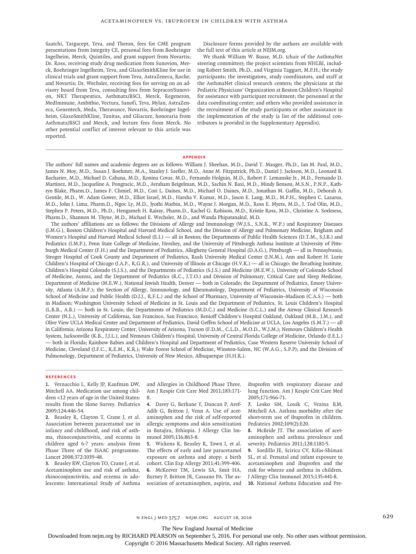Saatchi, Targacept, Teva, and Theron, fees for CME program presentations from Integrity CE, personal fees from Boehringer Ingelheim, Merck, Quintiles, and grant support from Novartis; Dr. Ross, receiving study drug medication from Sunovion, Merck, Boehringer Ingelheim, Teva, and GlaxoSmithKline for use in clinical trials and grant support from Teva, AstraZeneca, Roche, and Novartis; Dr. Wechsler, receiving fees for serving on an advisory board from Teva, consulting fees from Sepracor/Sunovion, NKT Therapeutics, Asthmatx/BSCI, Merck, Regeneron, MedImmune, Ambitbio, Vectura, Sanofi, Teva, Mylan, AstraZeneca, Genentech, Meda, Theravance, Novartis, Boehringer Ingelheim, GlaxoSmithKline, Tunitas, and Gliacure, honoraria from Asthmatx/BSCI and Merck, and lecture fees from Merck. No other potential conflict of interest relevant to this article was reported.

Disclosure forms provided by the authors are available with the full text of this article at NEJM.org.

We thank William W. Busse, M.D. (chair of the AsthmaNet steering committee); the project scientists from NHLBI, including Robert Smith, Ph.D., and Virginia Taggart, M.P.H.; the study participants; the investigators, study coordinators, and staff at the AsthmaNet clinical research centers; the physicians at the Pediatric Physicians' Organization at Boston Children's Hospital for assistance with participant recruitment; the personnel at the data coordinating center; and others who provided assistance in the recruitment of the study participants or other assistance in the implementation of the study (a list of the additional contributors is provided in the Supplementary Appendix).

#### **Appendix**

The authors' full names and academic degrees are as follows: William J. Sheehan, M.D., David T. Mauger, Ph.D., Ian M. Paul, M.D., James N. Moy, M.D., Susan J. Boehmer, M.A., Stanley J. Szefler, M.D., Anne M. Fitzpatrick, Ph.D., Daniel J. Jackson, M.D., Leonard B. Bacharier, M.D., Michael D. Cabana, M.D., Ronina Covar, M.D., Fernando Holguin, M.D., Robert F. Lemanske Jr., M.D., Fernando D. Martinez, M.D., Jacqueline A. Pongracic, M.D., Avraham Beigelman, M.D., Sachin N. Baxi, M.D., Mindy Benson, M.S.N., P.N.P., Kathryn Blake, Pharm.D., James F. Chmiel, M.D., Cori L. Daines, M.D., Michael O. Daines, M.D., Jonathan M. Gaffin, M.D., Deborah A. Gentile, M.D., W. Adam Gower, M.D., Elliot Israel, M.D., Harsha V. Kumar, M.D., Jason E. Lang, M.D., M.P.H., Stephen C. Lazarus, M.D., John J. Lima, Pharm.D., Ngoc Ly, M.D., Jyothi Marbin, M.D., Wayne J. Morgan, M.D., Ross E. Myers, M.D., J. Tod Olin, M.D., Stephen P. Peters, M.D., Ph.D., Hengameh H. Raissy, Pharm.D., Rachel G. Robison, M.D., Kristie Ross, M.D., Christine A. Sorkness, Pharm.D., Shannon M. Thyne, M.D., Michael E. Wechsler, M.D., and Wanda Phipatanakul, M.D.

The authors' affiliations are as follows: the Divisions of Allergy and Immunology (W.J.S., S.N.B., W.P.) and Respiratory Diseases (J.M.G.), Boston Children's Hospital and Harvard Medical School, and the Division of Allergy and Pulmonary Medicine, Brigham and Women's Hospital and Harvard Medical School (E.I.) — all in Boston; the Departments of Public Health Sciences (D.T.M., S.J.B.) and Pediatrics (I.M.P.), Penn State College of Medicine, Hershey, and the University of Pittsburgh Asthma Institute at University of Pittsburgh Medical Center (F.H.) and the Department of Pediatrics, Allegheny General Hospital (D.A.G.), Pittsburgh — all in Pennsylvania; Stroger Hospital of Cook County and Department of Pediatrics, Rush University Medical Center (J.N.M.), Ann and Robert H. Lurie Children's Hospital of Chicago (J.A.P., R.G.R.), and University of Illinois at Chicago (H.V.K.) — all in Chicago; the Breathing Institute, Children's Hospital Colorado (S.J.S.), and the Departments of Pediatrics (S.J.S.) and Medicine (M.E.W.), University of Colorado School of Medicine, Aurora, and the Department of Pediatrics (R.C., J.T.O.) and Division of Pulmonary, Critical Care and Sleep Medicine, Department of Medicine (M.E.W.), National Jewish Health, Denver — both in Colorado; the Department of Pediatrics, Emory University, Atlanta (A.M.F.); the Section of Allergy, Immunology, and Rheumatology, Department of Pediatrics, University of Wisconsin School of Medicine and Public Health (D.J.J., R.F.L.) and the School of Pharmacy, University of Wisconsin–Madison (C.A.S.) — both in Madison; Washington University School of Medicine in St. Louis and the Department of Pediatrics, St. Louis Children's Hospital (L.B.B., A.B.) — both in St. Louis; the Departments of Pediatrics (M.D.C.) and Medicine (S.C.L.) and the Airway Clinical Research Center (N.L.), University of California, San Francisco, San Francisco, Benioff Children's Hospital Oakland, Oakland (M.B., J.M.), and Olive View UCLA Medical Center and Department of Pediatrics, David Geffen School of Medicine at UCLA, Los Angeles (S.M.T.) — all in California; Arizona Respiratory Center, University of Arizona, Tucson (F.D.M., C.L.D., M.O.D., W.J.M.); Nemours Children's Health System, Jacksonville (K.B., J.J.L.), and Nemours Children's Hospital, University of Central Florida College of Medicine, Orlando (J.E.L.) — both in Florida; Rainbow Babies and Children's Hospital and Department of Pediatrics, Case Western Reserve University School of Medicine, Cleveland (J.F.C., R.E.M., K.R.); Wake Forest School of Medicine, Winston-Salem, NC (W.A.G., S.P.P); and the Division of Pulmonology, Department of Pediatrics, University of New Mexico, Albuquerque (H.H.R.).

#### **References**

**1.** Vernacchio L, Kelly JP, Kaufman DW, Mitchell AA. Medication use among children <12 years of age in the United States: results from the Slone Survey. Pediatrics 2009;124:446-54.

**2.** Beasley R, Clayton T, Crane J, et al. Association between paracetamol use in infancy and childhood, and risk of asthma, rhinoconjunctivitis, and eczema in children aged 6-7 years: analysis from Phase Three of the ISAAC programme. Lancet 2008;372:1039-48.

**3.** Beasley RW, Clayton TO, Crane J, et al. Acetaminophen use and risk of asthma, rhinoconjunctivitis, and eczema in adolescents: International Study of Asthma

and Allergies in Childhood Phase Three. Am J Respir Crit Care Med 2011;183:171- 8.

**4.** Davey G, Berhane Y, Duncan P, Aref-Adib G, Britton J, Venn A. Use of acetaminophen and the risk of self-reported allergic symptoms and skin sensitization in Butajira, Ethiopia. J Allergy Clin Immunol 2005;116:863-8.

**5.** Wickens K, Beasley R, Town I, et al. The effects of early and late paracetamol exposure on asthma and atopy: a birth cohort. Clin Exp Allergy 2011;41:399-406. **6.** McKeever TM, Lewis SA, Smit HA, Burney P, Britton JR, Cassano PA. The association of acetaminophen, aspirin, and ibuprofen with respiratory disease and lung function. Am J Respir Crit Care Med 2005;171:966-71.

**7.** Lesko SM, Louik C, Vezina RM, Mitchell AA. Asthma morbidity after the short-term use of ibuprofen in children. Pediatrics 2002;109(2):E20.

**8.** McBride JT. The association of acetaminophen and asthma prevalence and severity. Pediatrics 2011;128:1181-5.

**9.** Sordillo JE, Scirica CV, Rifas-Shiman SL, et al. Prenatal and infant exposure to acetaminophen and ibuprofen and the risk for wheeze and asthma in children. J Allergy Clin Immunol 2015;135:441-8. **10.** National Asthma Education and Pre-

n engl j med 375;7 nejm.org August 18, 2016 629

The New England Journal of Medicine

Downloaded from nejm.org by RICHARD PEARSON on September 5, 2016. For personal use only. No other uses without permission.